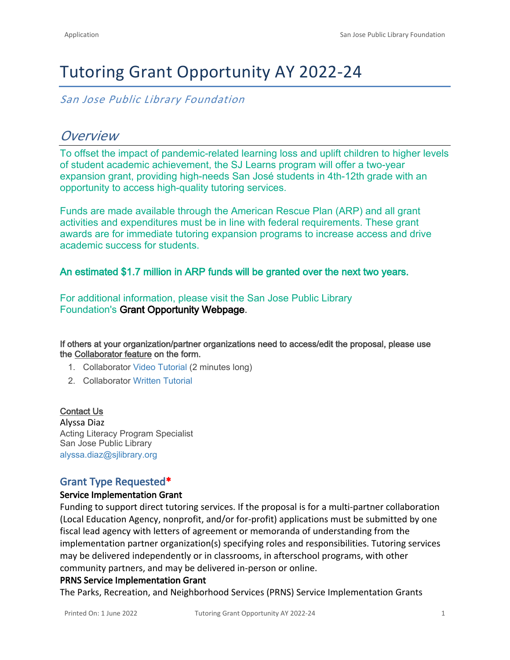# Tutoring Grant Opportunity AY 2022-24

*San Jose Public Library Foundation*

## *Overview*

To offset the impact of pandemic-related learning loss and uplift children to higher levels of student academic achievement, the SJ Learns program will offer a two-year expansion grant, providing high-needs San José students in 4th-12th grade with an opportunity to access high-quality tutoring services. 

Funds are made available through the American Rescue Plan (ARP) and all grant activities and expenditures must be in line with federal requirements. These grant awards are for immediate tutoring expansion programs to increase access and drive academic success for students.

## **An estimated \$1.7 million in ARP funds will be granted over the next two years.**

For additional information, please visit the San Jose Public Library Foundation's **[Grant](https://www.sjplf.org/sjlearns/grantopportunity/) [Opportunity Webpage](https://www.sjplf.org/sjlearns/grant-opportunity/)**.

**If others at your organization/partner organizations need to access/edit the proposal, please use the Collaborator feature on the form.**

- 1. Collaborator [Video Tutorial](https://drive.google.com/open?id=1IHkAEvTD4c-t9BwclyQY_OCdghW5U56B) (2 minutes long)
- 2. Collaborator [Written Tutorial](https://drive.google.com/open?id=15NsdFgi3lBmBu0_pp1zj2HZ51I4mx8Wryjrx4FYOmdg)

#### **Contact Us**

Alyssa Diaz Acting Literacy Program Specialist San Jose Public Library [alyssa.diaz@sjlibrary.org](mailto:alyssa.diaz@sjlibrary.org)

## **Grant Type Requested\***

#### **Service Implementation Grant**

Funding to support direct tutoring services. If the proposal is for a multi-partner collaboration (Local Education Agency, nonprofit, and/or for-profit) applications must be submitted by one fiscal lead agency with letters of agreement or memoranda of understanding from the implementation partner organization(s) specifying roles and responsibilities. Tutoring services may be delivered independently or in classrooms, in afterschool programs, with other community partners, and may be delivered in-person or online.

#### **PRNS Service Implementation Grant**

The Parks, Recreation, and Neighborhood Services (PRNS) Service Implementation Grants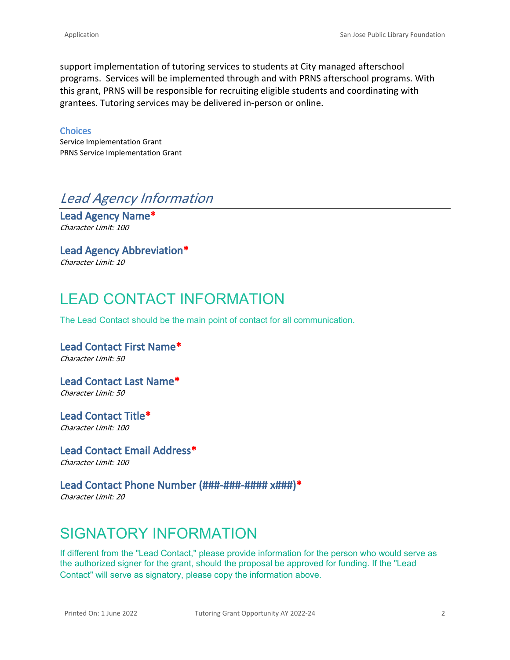support implementation of tutoring services to students at City managed afterschool programs. Services will be implemented through and with PRNS afterschool programs. With this grant, PRNS will be responsible for recruiting eligible students and coordinating with grantees. Tutoring services may be delivered in-person or online.

#### **Choices**

Service Implementation Grant PRNS Service Implementation Grant

## *Lead Agency Information*

**Lead Agency Name\*** *Character Limit: 100*

## **Lead Agency Abbreviation\***

*Character Limit: 10*

# LEAD CONTACT INFORMATION

The Lead Contact should be the main point of contact for all communication.

## **Lead Contact First Name\*** *Character Limit: 50*

**Lead Contact Last Name\*** *Character Limit: 50*

**Lead Contact Title\*** *Character Limit: 100*

**Lead Contact Email Address\*** *Character Limit: 100*

## **Lead Contact Phone Number (###-###-#### x###)\***

*Character Limit: 20*

# SIGNATORY INFORMATION

If different from the "Lead Contact," please provide information for the person who would serve as the authorized signer for the grant, should the proposal be approved for funding. If the "Lead Contact" will serve as signatory, please copy the information above.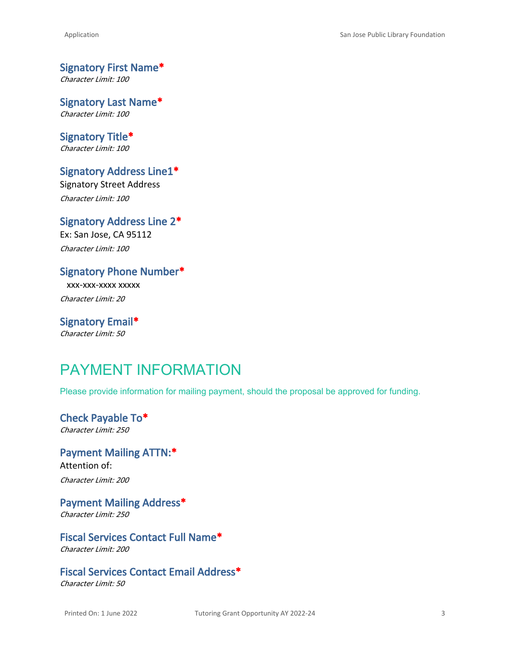**Signatory First Name\*** *Character Limit: 100*

**Signatory Last Name\*** *Character Limit: 100*

**Signatory Title\*** *Character Limit: 100*

# **Signatory Address Line1\***

Signatory Street Address *Character Limit: 100*

**Signatory Address Line 2\*** Ex: San Jose, CA 95112 *Character Limit: 100*

**Signatory Phone Number\*** xxx-xxx-xxxx xxxxx

*Character Limit: 20*

**Signatory Email\*** *Character Limit: 50*

# PAYMENT INFORMATION

Please provide information for mailing payment, should the proposal be approved for funding.

**Check Payable To\*** *Character Limit: 250*

**Payment Mailing ATTN:\*** Attention of: *Character Limit: 200*

**Payment Mailing Address\*** *Character Limit: 250*

**Fiscal Services Contact Full Name\*** *Character Limit: 200*

**Fiscal Services Contact Email Address\*** *Character Limit: 50*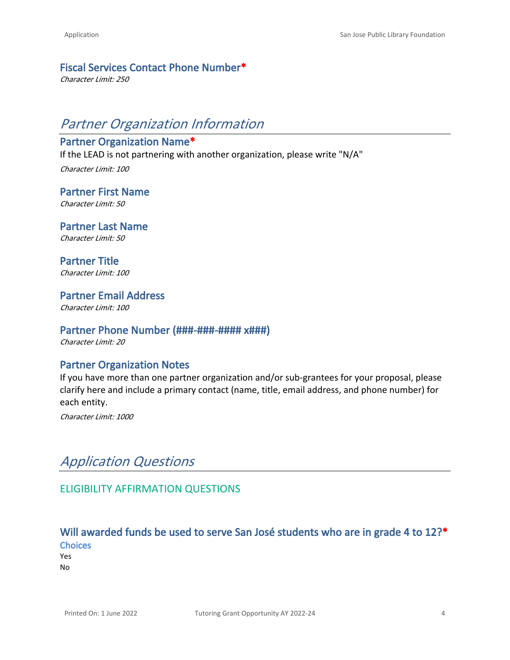#### **Fiscal Services Contact Phone Number\***

*Character Limit: 250*

# *Partner Organization Information*

## **Partner Organization Name\***

If the LEAD is not partnering with another organization, please write "N/A"

*Character Limit: 100*

**Partner First Name** *Character Limit: 50*

**Partner Last Name** *Character Limit: 50*

**Partner Title** *Character Limit: 100*

**Partner Email Address** *Character Limit: 100*

### **Partner Phone Number (###-###-#### x###)**

*Character Limit: 20*

## **Partner Organization Notes**

If you have more than one partner organization and/or sub-grantees for your proposal, please clarify here and include a primary contact (name, title, email address, and phone number) for each entity.

*Character Limit: 1000*

## *Application Questions*

## ELIGIBILITY AFFIRMATION QUESTIONS

## **Will awarded funds be used to serve San José students who are in grade 4 to 12?\* Choices**

Yes No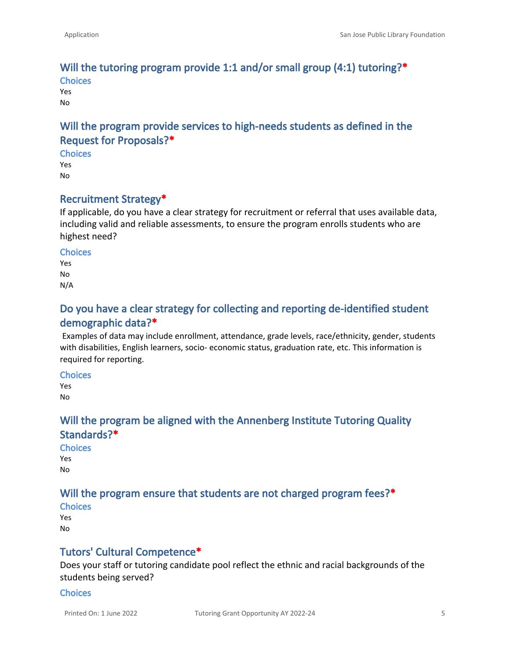### **Will the tutoring program provide 1:1 and/or small group (4:1) tutoring?\* Choices**

Yes No

## **Will the program provide services to high-needs students as defined in the Request for Proposals?\***

**Choices**

Yes No

## **Recruitment Strategy\***

If applicable, do you have a clear strategy for recruitment or referral that uses available data, including valid and reliable assessments, to ensure the program enrolls students who are highest need?

#### **Choices**

Yes No N/A

## **Do you have a clear strategy for collecting and reporting de-identified student demographic data?\***

Examples of data may include enrollment, attendance, grade levels, race/ethnicity, gender, students with disabilities, English learners, socio- economic status, graduation rate, etc. This information is required for reporting.

#### **Choices**

Yes No

## **Will the program be aligned with the Annenberg Institute Tutoring Quality Standards?\***

**Choices** Yes No

## **Will the program ensure that students are not charged program fees?\***

**Choices** Yes No

## **Tutors' Cultural Competence\***

Does your staff or tutoring candidate pool reflect the ethnic and racial backgrounds of the students being served?

#### **Choices**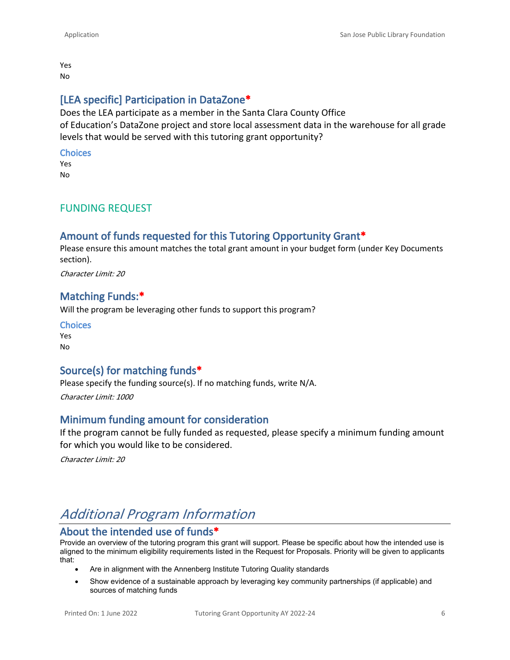Yes No

## **[LEA specific] Participation in DataZone\***

Does the LEA participate as a member in the Santa Clara County Office of Education's DataZone project and store local assessment data in the warehouse for all grade levels that would be served with this tutoring grant opportunity?

#### **Choices**

Yes No

### FUNDING REQUEST

## **Amount of funds requested for this Tutoring Opportunity Grant\***

Please ensure this amount matches the total grant amount in your budget form (under Key Documents section).

*Character Limit: 20*

### **Matching Funds:\***

Will the program be leveraging other funds to support this program?

| <b>Choices</b> |
|----------------|
| Yes            |
| No             |

## **Source(s) for matching funds\***

Please specify the funding source(s). If no matching funds, write N/A.

*Character Limit: 1000*

#### **Minimum funding amount for consideration**

If the program cannot be fully funded as requested, please specify a minimum funding amount for which you would like to be considered.

*Character Limit: 20*

## *Additional Program Information*

## **About the intended use of funds\***

Provide an overview of the tutoring program this grant will support. Please be specific about how the intended use is aligned to the minimum eligibility requirements listed in the Request for Proposals. Priority will be given to applicants that: 

- Are in alignment with the Annenberg Institute Tutoring Quality standards
- Show evidence of a sustainable approach by leveraging key community partnerships (if applicable) and sources of matching funds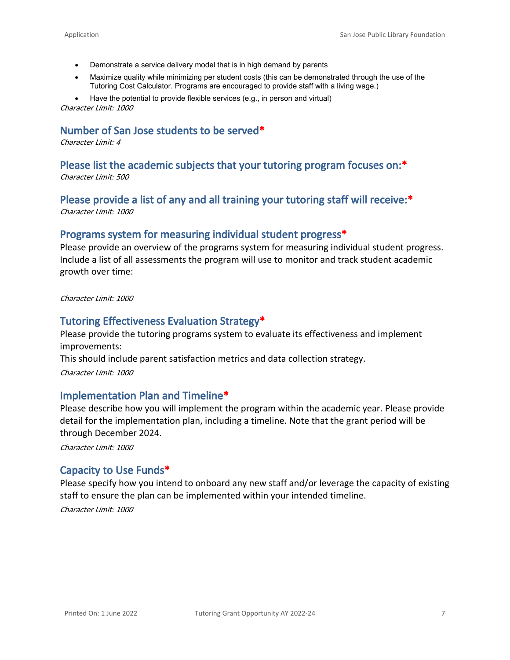- Demonstrate a service delivery model that is in high demand by parents
- Maximize quality while minimizing per student costs (this can be demonstrated through the use of the Tutoring Cost Calculator. Programs are encouraged to provide staff with a living wage.)

• Have the potential to provide flexible services (e.g., in person and virtual) *Character Limit: 1000*

## **Number of San Jose students to be served\***

*Character Limit: 4*

## **Please list the academic subjects that your tutoring program focuses on:\***

*Character Limit: 500*

#### **Please provide a list of any and all training your tutoring staff will receive:\*** *Character Limit: 1000*

#### **Programs system for measuring individual student progress\***

Please provide an overview of the programs system for measuring individual student progress. Include a list of all assessments the program will use to monitor and track student academic growth over time:

*Character Limit: 1000*

#### **Tutoring Effectiveness Evaluation Strategy\***

Please provide the tutoring programs system to evaluate its effectiveness and implement improvements:

This should include parent satisfaction metrics and data collection strategy.

*Character Limit: 1000*

#### **Implementation Plan and Timeline\***

Please describe how you will implement the program within the academic year. Please provide detail for the implementation plan, including a timeline. Note that the grant period will be through December 2024.

*Character Limit: 1000*

### **Capacity to Use Funds\***

Please specify how you intend to onboard any new staff and/or leverage the capacity of existing staff to ensure the plan can be implemented within your intended timeline.

*Character Limit: 1000*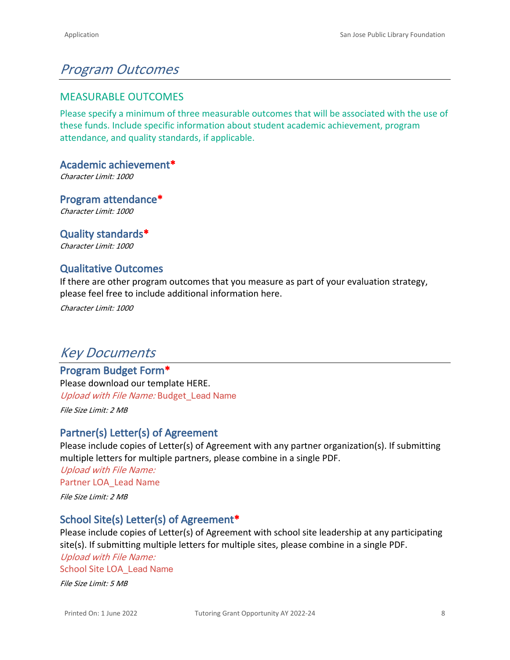# *Program Outcomes*

### MEASURABLE OUTCOMES

Please specify a minimum of three measurable outcomes that will be associated with the use of these funds. Include specific information about student academic achievement, program attendance, and quality standards, if applicable.

**Academic achievement\***

*Character Limit: 1000*

**Program attendance\*** *Character Limit: 1000*

**Quality standards\*** *Character Limit: 1000*

## **Qualitative Outcomes**

If there are other program outcomes that you measure as part of your evaluation strategy, please feel free to include additional information here.

*Character Limit: 1000*

## *Key Documents*

## **Program Budget Form\***

Please download our template [HERE.](https://www.grantinterface.com/Documents/Download/1b35c257-af10-48cd-864c-a97e5c37b5fa) *Upload with File Name:* Budget\_Lead Name

*File Size Limit: 2 MB*

## **Partner(s) Letter(s) of Agreement**

Please include copies of Letter(s) of Agreement with any partner organization(s). If submitting multiple letters for multiple partners, please combine in a single PDF. *Upload with File Name:* Partner LOA\_Lead Name *File Size Limit: 2 MB*

## **School Site(s) Letter(s) of Agreement\***

Please include copies of Letter(s) of Agreement with school site leadership at any participating site(s). If submitting multiple letters for multiple sites, please combine in a single PDF. *Upload with File Name:*

School Site LOA\_Lead Name

*File Size Limit: 5 MB*